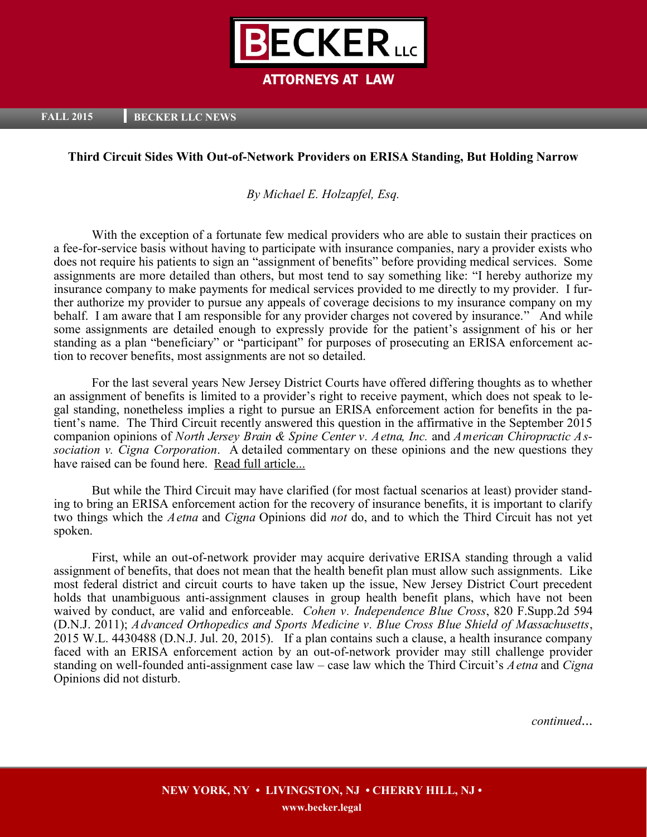

**FALL 2015 BECKER LLC NEWS** 

## **Third Circuit Sides With Out-of-Network Providers on ERISA Standing, But Holding Narrow**

*By Michael E. Holzapfel, Esq.*

With the exception of a fortunate few medical providers who are able to sustain their practices on a fee-for-service basis without having to participate with insurance companies, nary a provider exists who does not require his patients to sign an "assignment of benefits" before providing medical services. Some assignments are more detailed than others, but most tend to say something like: "I hereby authorize my insurance company to make payments for medical services provided to me directly to my provider. I further authorize my provider to pursue any appeals of coverage decisions to my insurance company on my behalf. I am aware that I am responsible for any provider charges not covered by insurance." And while some assignments are detailed enough to expressly provide for the patient's assignment of his or her standing as a plan "beneficiary" or "participant" for purposes of prosecuting an ERISA enforcement action to recover benefits, most assignments are not so detailed.

For the last several years New Jersey District Courts have offered differing thoughts as to whether an assignment of benefits is limited to a provider's right to receive payment, which does not speak to legal standing, nonetheless implies a right to pursue an ERISA enforcement action for benefits in the patient's name. The Third Circuit recently answered this question in the affirmative in the September 2015 companion opinions of *North Jersey Brain & Spine Center v. Aetna, Inc.* and *American Chiropractic Association v. Cigna Corporation*. A detailed commentary on these opinions and the new questions they have raised can be found here. Read full article...

But while the Third Circuit may have clarified (for most factual scenarios at least) provider standing to bring an ERISA enforcement action for the recovery of insurance benefits, it is important to clarify two things which the *Aetna* and *Cigna* Opinions did *not* do, and to which the Third Circuit has not yet spoken.

First, while an out-of-network provider may acquire derivative ERISA standing through a valid assignment of benefits, that does not mean that the health benefit plan must allow such assignments. Like most federal district and circuit courts to have taken up the issue, New Jersey District Court precedent holds that unambiguous anti-assignment clauses in group health benefit plans, which have not been waived by conduct, are valid and enforceable. *Cohen v. Independence Blue Cross*, 820 F.Supp.2d 594 (D.N.J. 2011); *Advanced Orthopedics and Sports Medicine v. Blue Cross Blue Shield of Massachusetts*, 2015 W.L. 4430488 (D.N.J. Jul. 20, 2015). If a plan contains such a clause, a health insurance company faced with an ERISA enforcement action by an out-of-network provider may still challenge provider standing on well-founded anti-assignment case law – case law which the Third Circuit's *Aetna* and *Cigna*  Opinions did not disturb.

*continued*...